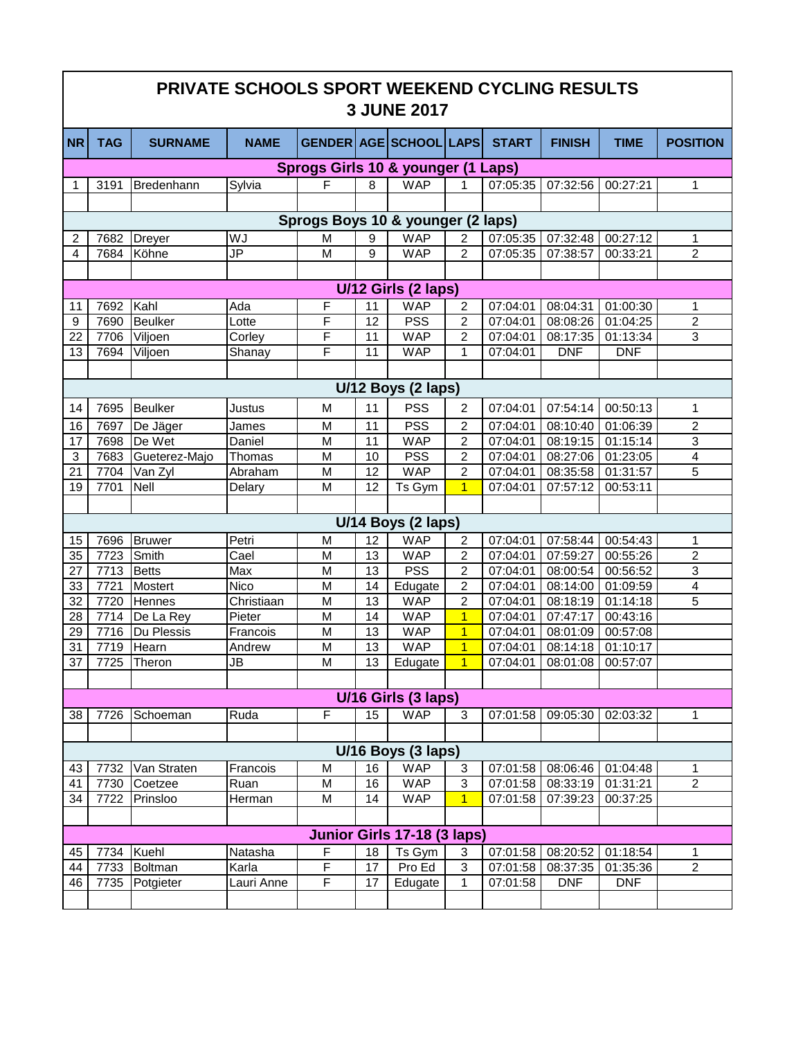| PRIVATE SCHOOLS SPORT WEEKEND CYCLING RESULTS<br><b>3 JUNE 2017</b>                                                         |                     |                         |                          |                                   |          |                              |                                  |                      |                            |                       |                         |
|-----------------------------------------------------------------------------------------------------------------------------|---------------------|-------------------------|--------------------------|-----------------------------------|----------|------------------------------|----------------------------------|----------------------|----------------------------|-----------------------|-------------------------|
| <b>NR</b>                                                                                                                   | <b>TAG</b>          | <b>SURNAME</b>          | <b>NAME</b>              |                                   |          | GENDER   AGE   SCHOOL   LAPS |                                  | <b>START</b>         | <b>FINISH</b>              | <b>TIME</b>           | <b>POSITION</b>         |
| Sprogs Girls 10 & younger (1 Laps)                                                                                          |                     |                         |                          |                                   |          |                              |                                  |                      |                            |                       |                         |
| 1                                                                                                                           | 3191                | Bredenhann              | Sylvia                   | F                                 | 8        | <b>WAP</b>                   | 1                                | 07:05:35             | 07:32:56                   | 00:27:21              | 1                       |
|                                                                                                                             |                     |                         |                          |                                   |          |                              |                                  |                      |                            |                       |                         |
|                                                                                                                             |                     |                         |                          | Sprogs Boys 10 & younger (2 laps) |          |                              |                                  |                      |                            |                       |                         |
| 2                                                                                                                           | 7682                | <b>Dreyer</b>           | WJ                       | M                                 | 9        | <b>WAP</b>                   | 2                                | 07:05:35             | 07:32:48                   | 00:27:12              | 1                       |
| 4                                                                                                                           | 7684                | Köhne                   | JP                       | M                                 | 9        | <b>WAP</b>                   | $\overline{2}$                   | 07:05:35             | 07:38:57                   | 00:33:21              | $\overline{2}$          |
|                                                                                                                             |                     |                         |                          |                                   |          |                              |                                  |                      |                            |                       |                         |
|                                                                                                                             | U/12 Girls (2 laps) |                         |                          |                                   |          |                              |                                  |                      |                            |                       |                         |
| 11                                                                                                                          | 7692                | Kahl                    | Ada                      | F                                 | 11       | <b>WAP</b>                   | 2                                | 07:04:01             | 08:04:31                   | 01:00:30              | 1                       |
| 9                                                                                                                           | 7690                | <b>Beulker</b>          | Lotte                    | F                                 | 12       | <b>PSS</b>                   | $\overline{2}$                   | 07:04:01             | 08:08:26                   | 01:04:25              | $\overline{2}$          |
| 22                                                                                                                          | 7706                | Viljoen                 | Corley                   | F                                 | 11       | <b>WAP</b>                   | $\overline{2}$                   | 07:04:01             | 08:17:35                   | 01:13:34              | 3                       |
| 13                                                                                                                          | 7694                | Viljoen                 | Shanay                   | F                                 | 11       | <b>WAP</b>                   | 1                                | 07:04:01             | <b>DNF</b>                 | <b>DNF</b>            |                         |
|                                                                                                                             |                     |                         |                          |                                   |          |                              |                                  |                      |                            |                       |                         |
|                                                                                                                             | U/12 Boys (2 laps)  |                         |                          |                                   |          |                              |                                  |                      |                            |                       |                         |
| 14                                                                                                                          | 7695                | <b>Beulker</b>          | Justus                   | M                                 | 11       | <b>PSS</b>                   | $\overline{2}$                   | 07:04:01             | 07:54:14                   | 00:50:13              | 1                       |
| 16                                                                                                                          | 7697                | De Jäger                | James                    | M                                 | 11       | PSS                          | $\overline{2}$                   | 07:04:01             | 08:10:40                   | 01:06:39              | $\overline{2}$          |
| 17                                                                                                                          | 7698                | De Wet                  | Daniel                   | M                                 | 11       | <b>WAP</b>                   | $\overline{2}$                   | 07:04:01             | 08:19:15                   | 01:15:14              | 3                       |
| 3                                                                                                                           | 7683                | Gueterez-Majo           | Thomas                   | M                                 | 10       | <b>PSS</b>                   | $\overline{c}$                   | 07:04:01             | 08:27:06                   | $\overline{0}1:23:05$ | $\overline{\mathbf{4}}$ |
| 21                                                                                                                          | 7704                | Van Zyl                 | Abraham                  | M                                 | 12       | <b>WAP</b>                   | $\overline{2}$                   | 07:04:01             | 08:35:58                   | 01:31:57              | 5                       |
| 19                                                                                                                          | 7701                | Nell                    | Delary                   | M                                 | 12       | Ts Gym                       | $\overline{1}$                   | 07:04:01             | 07:57:12                   | 00:53:11              |                         |
|                                                                                                                             |                     |                         |                          |                                   |          |                              |                                  |                      |                            |                       |                         |
|                                                                                                                             |                     |                         |                          |                                   |          | U/14 Boys (2 laps)           |                                  |                      |                            |                       |                         |
| 15                                                                                                                          | 7696                | <b>Bruwer</b>           | Petri                    | M                                 | 12       | <b>WAP</b>                   | 2                                | 07:04:01             | 07:58:44                   | 00:54:43              | 1                       |
| 35                                                                                                                          | 7723                | Smith                   | Cael                     | M                                 | 13       | <b>WAP</b>                   | 2                                | 07:04:01             | 07:59:27                   | 00:55:26              | $\boldsymbol{2}$        |
| 27                                                                                                                          | 7713                | <b>Betts</b>            | Max                      | M                                 | 13       | <b>PSS</b>                   | 2                                | 07:04:01             | 08:00:54                   | 00:56:52              | 3                       |
| 33                                                                                                                          | 7721                | <b>Mostert</b>          | Nico                     | M                                 | 14       | Edugate                      | 2                                | 07:04:01             | 08:14:00                   | 01:09:59              | 4                       |
| 32                                                                                                                          | 7720                | Hennes                  | Christiaan               | M                                 | 13       | <b>WAP</b>                   | $\overline{2}$                   | 07:04:01             | 08:18:19                   | 01:14:18              | 5                       |
| 28<br>29                                                                                                                    | 7714<br>7716        | De La Rey<br>Du Plessis | Pieter<br>Francois       | M<br>M                            | 14<br>13 | <b>WAP</b><br><b>WAP</b>     | $\overline{1}$<br>$\overline{1}$ | 07:04:01<br>07:04:01 | 07:47:17<br>08:01:09       | 00:43:16<br>00:57:08  |                         |
| 31                                                                                                                          | 7719                | <b>Hearn</b>            | Andrew                   | M                                 | 13       | <b>WAP</b>                   | $\overline{1}$                   | 07:04:01             | 08:14:18                   | 01:10:17              |                         |
| $\overline{37}$                                                                                                             |                     | 7725 Theron             | $\overline{\mathsf{JB}}$ | $\overline{\mathsf{M}}$           | 13       | Edugate                      | $\overline{1}$                   |                      | 07:04:01 08:01:08 00:57:07 |                       |                         |
|                                                                                                                             |                     |                         |                          |                                   |          |                              |                                  |                      |                            |                       |                         |
| U/16 Girls (3 laps)                                                                                                         |                     |                         |                          |                                   |          |                              |                                  |                      |                            |                       |                         |
| 38                                                                                                                          | 7726                | Schoeman                | Ruda                     | F                                 | 15       | <b>WAP</b>                   | 3                                | 07:01:58             | 09:05:30                   | 02:03:32              | 1                       |
|                                                                                                                             |                     |                         |                          |                                   |          |                              |                                  |                      |                            |                       |                         |
|                                                                                                                             |                     |                         |                          |                                   |          |                              |                                  |                      |                            |                       |                         |
| U/16 Boys (3 laps)<br><b>WAP</b><br>16<br>$\mathsf 3$<br>08:06:46 01:04:48<br>Van Straten<br>Francois<br>M<br>07:01:58<br>1 |                     |                         |                          |                                   |          |                              |                                  |                      |                            |                       |                         |
| 43<br>41                                                                                                                    | 7732<br>7730        | Coetzee                 | Ruan                     | M                                 | 16       | <b>WAP</b>                   | $\mathsf 3$                      | 07:01:58             | 08:33:19                   | 01:31:21              | $\overline{2}$          |
| 34                                                                                                                          | 7722                | Prinsloo                | Herman                   | M                                 | 14       | <b>WAP</b>                   | $\mathbf 1$                      | 07:01:58             | 07:39:23                   | 00:37:25              |                         |
|                                                                                                                             |                     |                         |                          |                                   |          |                              |                                  |                      |                            |                       |                         |
| Junior Girls 17-18 (3 laps)                                                                                                 |                     |                         |                          |                                   |          |                              |                                  |                      |                            |                       |                         |
| 45                                                                                                                          | 7734                | Kuehl                   | Natasha                  | F                                 | 18       | Ts Gym                       | 3                                | 07:01:58             | 08:20:52                   | 01:18:54              | 1                       |
| 44                                                                                                                          | 7733                | Boltman                 | Karla                    | F                                 | 17       | Pro Ed                       | $\mathfrak{B}$                   | 07:01:58             | 08:37:35                   | 01:35:36              | $\overline{c}$          |
| 46                                                                                                                          | 7735                | Potgieter               | Lauri Anne               | F                                 | 17       | Edugate                      | 1                                | 07:01:58             | <b>DNF</b>                 | <b>DNF</b>            |                         |
|                                                                                                                             |                     |                         |                          |                                   |          |                              |                                  |                      |                            |                       |                         |
|                                                                                                                             |                     |                         |                          |                                   |          |                              |                                  |                      |                            |                       |                         |